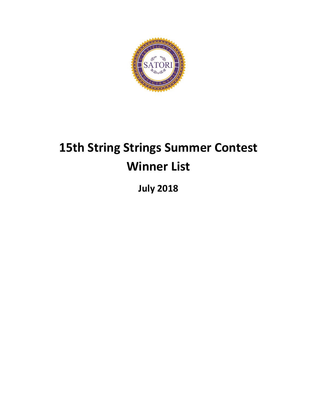

# **15th String Strings Summer Contest Winner List**

**July 2018**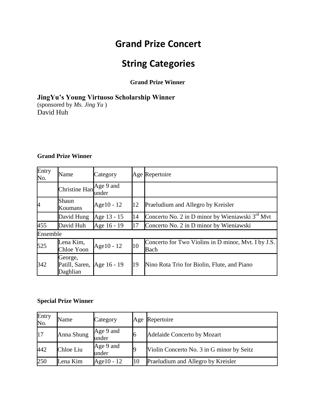### **Grand Prize Concert**

## **String Categories**

**Grand Prize Winner**

#### **JingYu's Young Virtuoso Scholarship Winner** (sponsored by *Ms. Jing Yu* ) David Huh

#### **Grand Prize Winner**

| Entry<br>No. | Name                                                 | Category    |    | Age Repertoire                                              |
|--------------|------------------------------------------------------|-------------|----|-------------------------------------------------------------|
|              | Christine Han Age 9 and                              | under       |    |                                                             |
| <b>4</b>     | Shaun<br>Koumans                                     | Age10 - 12  | 12 | Praeludium and Allegro by Kreisler                          |
|              | David Hung                                           | Age 13 - 15 | 14 | Concerto No. 2 in D minor by Wieniawski $3rd$ Mvt           |
| 455          | David Huh                                            | Age 16 - 19 | 17 | Concerto No. 2 in D minor by Wieniawski                     |
| Ensemble     |                                                      |             |    |                                                             |
| 525          | Lena Kim,<br>Chloe Yoon                              | Age10 - 12  | 10 | Concerto for Two Violins in D minor, Myt. I by J.S.<br>Bach |
| 342          | George,<br>Patill, Saren, $ Age 16 - 19$<br>Daghlian |             | 19 | Nino Rota Trio for Biolin, Flute, and Piano                 |

### **Special Prize Winner**

| Entry<br>No. | Name       | Category           |    | Age Repertoire                            |
|--------------|------------|--------------------|----|-------------------------------------------|
| 17           | Anna Shung | Age 9 and<br>under | 16 | Adelaide Concerto by Mozart               |
| 442          | Chloe Liu  | Age 9 and<br>under | 19 | Violin Concerto No. 3 in G minor by Seitz |
| 250          | Lena Kim   | Age10 - 12         | 10 | Praeludium and Allegro by Kreisler        |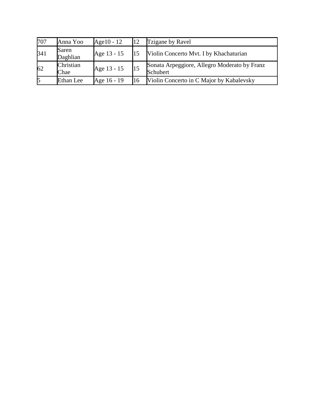| 707          | Anna Yoo          | Age $10 - 12$ | 12         | Tzigane by Ravel                                         |
|--------------|-------------------|---------------|------------|----------------------------------------------------------|
| 341          | Saren<br>Daghlian | Age 13 - 15   |            | Violin Concerto Myt. I by Khachaturian                   |
| 62           | Christian<br>Chae | Age 13 - 15   |            | Sonata Arpeggiore, Allegro Moderato by Franz<br>Schubert |
| $\mathsf{5}$ | Ethan Lee         | Age 16 - 19   | <b>116</b> | Violin Concerto in C Major by Kabalevsky                 |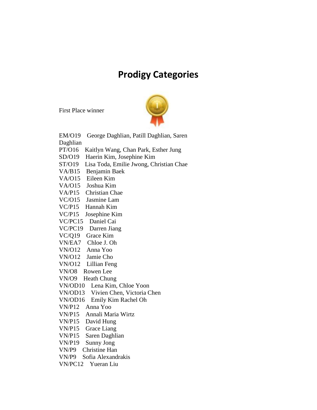### **Prodigy Categories**

First Place winner



EM/O19 George Daghlian, Patill Daghlian, Saren Daghlian PT/O16 Kaitlyn Wang, Chan Park, Esther Jung SD/O19 Haerin Kim, Josephine Kim ST/O19 Lisa Toda, Emilie Jwong, Christian Chae VA/B15 Benjamin Baek VA/O15 Eileen Kim VA/O15 Joshua Kim VA/P15 Christian Chae VC/O15 Jasmine Lam VC/P15 Hannah Kim VC/P15 Josephine Kim VC/PC15 Daniel Cai VC/PC19 Darren Jiang VC/Q19 Grace Kim VN/EA7 Chloe J. Oh VN/O12 Anna Yoo VN/O12 Jamie Cho VN/O12 Lillian Feng VN/O8 Rowen Lee VN/O9 Heath Chung VN/OD10 Lena Kim, Chloe Yoon VN/OD13 Vivien Chen, Victoria Chen VN/OD16 Emily Kim Rachel Oh VN/P12 Anna Yoo VN/P15 Annali Maria Wirtz VN/P15 David Hung VN/P15 Grace Liang VN/P15 Saren Daghlian

- VN/P19 Sunny Jong
- VN/P9 Christine Han
- VN/P9 Sofia Alexandrakis
- VN/PC12 Yueran Liu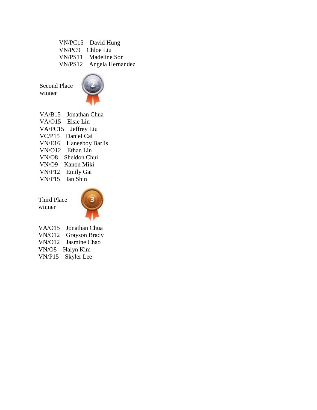VN/PC15 David Hung VN/PC9 Chloe Liu VN/PS11 Madeline Son VN/PS12 Angela Hernandez

Second Place winner



VA/B15 Jonathan Chua VA/O15 Elsie Lin VA/PC15 Jeffrey Liu VC/P15 Daniel Cai VN/E16 Haneeboy Barlis VN/O12 Ethan Lin VN/O8 Sheldon Chui VN/O9 Kanon Miki VN/P12 Emily Gai VN/P15 Ian Shin

Third Place winner



VA/O15 Jonathan Chua VN/O12 Grayson Brady VN/O12 Jasmine Chao VN/O8 Halyn Kim VN/P15 Skyler Lee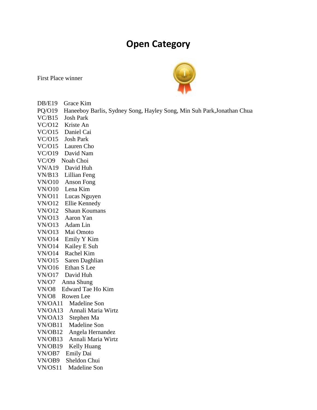### **Open Category**

First Place winner



- DB/E19 Grace Kim
- PQ/O19 Haneeboy Barlis, Sydney Song, Hayley Song, Min Suh Park,Jonathan Chua
- VC/B15 Josh Park VC/O12 Kriste An
- VC/O15 Daniel Cai
- VC/O15 Josh Park
- VC/O15 Lauren Cho
- VC/O19 David Nam
- VC/O9 Noah Choi
- VN/A19 David Huh
- VN/B13 Lillian Feng
- VN/O10 Anson Fong
- VN/O10 Lena Kim
- VN/O11 Lucas Nguyen
- VN/O12 Ellie Kennedy
- VN/O12 Shaun Koumans
- VN/O13 Aaron Yan
- VN/O13 Adam Lin
- VN/O13 Mai Omoto
- VN/O14 Emily Y Kim
- VN/O14 Kailey E Suh
- VN/O14 Rachel Kim
- VN/O15 Saren Daghlian
- VN/O16 Ethan S Lee
- VN/O17 David Huh
- VN/O7 Anna Shung
- VN/O8 Edward Tae Ho Kim
- VN/O8 Rowen Lee
- VN/OA11 Madeline Son
- VN/OA13 Annali Maria Wirtz
- VN/OA13 Stephen Ma
- VN/OB11 Madeline Son
- VN/OB12 Angela Hernandez
- VN/OB13 Annali Maria Wirtz
- VN/OB19 Kelly Huang
- VN/OB7 Emily Dai
- VN/OB9 Sheldon Chui
- VN/OS11 Madeline Son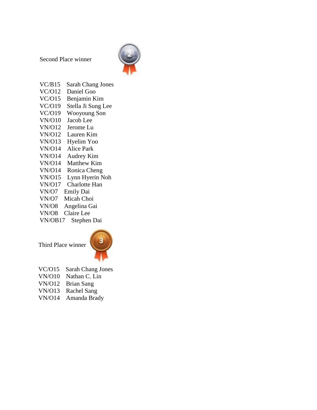Second Place winner



VC/B15 Sarah Chang Jones VC/O12 Daniel Goo VC/O15 Benjamin Kim VC/O19 Stella Ji Sung Lee VC/O19 Wooyoung Son VN/O10 Jacob Lee VN/O12 Jerome Lu VN/O12 Lauren Kim VN/O13 Hyelim Yoo VN/O14 Alice Park VN/O14 Audrey Kim VN/O14 Matthew Kim VN/O14 Ronica Cheng VN/O15 Lynn Hyerin Noh VN/O17 Charlotte Han VN/O7 Emily Dai VN/O7 Micah Choi VN/O8 Angelina Gai VN/O8 Claire Lee VN/OB17 Stephen Dai

Third Place winner



|        | VC/O15 Sarah Chang Jones |
|--------|--------------------------|
| VN/O10 | Nathan C. Lin            |
|        | VN/O12 Brian Sang        |
|        | VN/O13 Rachel Sang       |
|        | VN/O14 Amanda Brady      |
|        |                          |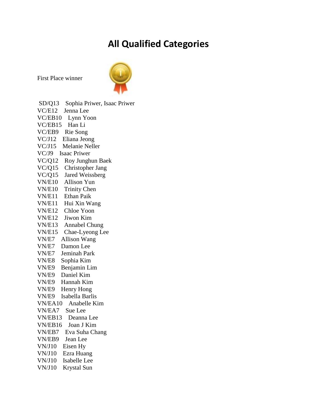### **All Qualified Categories**



First Place winner

SD/Q13 Sophia Priwer, Isaac Priwer VC/E12 Jenna Lee VC/EB10 Lynn Yoon VC/EB15 Han Li VC/EB9 Rie Song VC/J12 Eliana Jeong VC/J15 Melanie Neller VC/J9 Isaac Priwer VC/Q12 Roy Junghun Baek VC/Q15 Christopher Jang VC/Q15 Jared Weissberg VN/E10 Allison Yun VN/E10 Trinity Chen VN/E11 Ethan Paik VN/E11 Hui Xin Wang VN/E12 Chloe Yoon VN/E12 Jiwon Kim VN/E13 Annabel Chung VN/E15 Chae-Lyeong Lee VN/E7 Allison Wang VN/E7 Damon Lee VN/E7 Jeminah Park VN/E8 Sophia Kim VN/E9 Benjamin Lim VN/E9 Daniel Kim VN/E9 Hannah Kim VN/E9 Henry Hong VN/E9 Isabella Barlis VN/EA10 Anabelle Kim VN/EA7 Sue Lee VN/EB13 Deanna Lee VN/EB16 Joan J Kim VN/EB7 Eva Suha Chang VN/EB9 Jean Lee VN/J10 Eisen Hy VN/J10 Ezra Huang VN/J10 Isabelle Lee VN/J10 Krystal Sun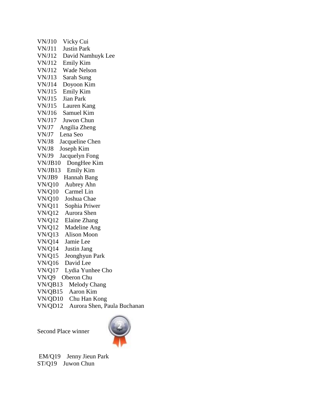VN/J10 Vicky Cui VN/J11 Justin Park VN/J12 David Namhuyk Lee VN/J12 Emily Kim VN/J12 Wade Nelson VN/J13 Sarah Sung VN/J14 Doyoon Kim VN/J15 Emily Kim VN/J15 Jian Park VN/J15 Lauren Kang VN/J16 Samuel Kim VN/J17 Juwon Chun VN/J7 Angilia Zheng VN/J7 Lena Seo VN/J8 Jacqueline Chen VN/J8 Joseph Kim VN/J9 Jacquelyn Fong VN/JB10 DongHee Kim VN/JB13 Emily Kim VN/JB9 Hannah Bang VN/Q10 Aubrey Ahn VN/Q10 Carmel Lin VN/Q10 Joshua Chae VN/Q11 Sophia Priwer VN/Q12 Aurora Shen VN/Q12 Elaine Zhang VN/Q12 Madeline Ang VN/Q13 Alison Moon VN/Q14 Jamie Lee VN/Q14 Justin Jang VN/Q15 Jeonghyun Park VN/Q16 David Lee VN/Q17 Lydia Yunhee Cho VN/Q9 Oberon Chu VN/QB13 Melody Chang VN/QB15 Aaron Kim VN/QD10 Chu Han Kong





Second Place winner

EM/Q19 Jenny Jieun Park ST/Q19 Juwon Chun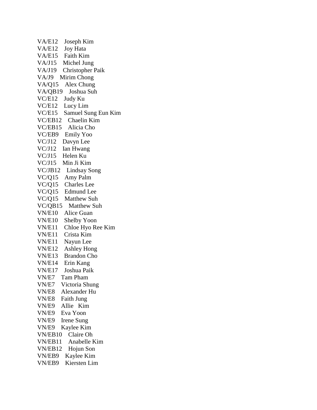VA/E12 Joseph Kim VA/E12 Joy Hata VA/E15 Faith Kim VA/J15 Michel Jung VA/J19 Christopher Paik VA/J9 Mirim Chong VA/Q15 Alex Chung VA/QB19 Joshua Suh VC/E12 Judy Ku VC/E12 Lucy Lim VC/E15 Samuel Sung Eun Kim VC/EB12 Chaelin Kim VC/EB15 Alicia Cho VC/EB9 Emily Yoo VC/J12 Davyn Lee VC/J12 Ian Hwang VC/J15 Helen Ku VC/J15 Min Ji Kim VC/JB12 Lindsay Song VC/Q15 Amy Palm VC/Q15 Charles Lee VC/Q15 Edmund Lee VC/Q15 Matthew Suh VC/QB15 Matthew Suh VN/E10 Alice Guan VN/E10 Shelby Yoon VN/E11 Chloe Hyo Ree Kim VN/E11 Crista Kim VN/E11 Nayun Lee VN/E12 Ashley Hong VN/E13 Brandon Cho VN/E14 Erin Kang VN/E17 Joshua Paik VN/E7 Tam Pham VN/E7 Victoria Shung VN/E8 Alexander Hu VN/E8 Faith Jung VN/E9 Allie Kim VN/E9 Eva Yoon VN/E9 Irene Sung VN/E9 Kaylee Kim VN/EB10 Claire Oh VN/EB11 Anabelle Kim VN/EB12 Hojun Son VN/EB9 Kaylee Kim VN/EB9 Kiersten Lim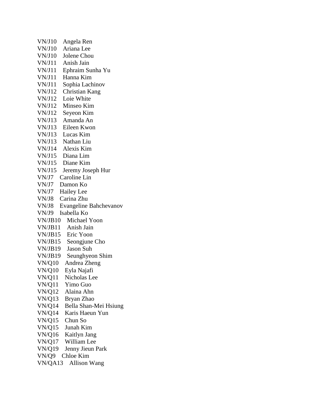VN/J10 Angela Ren VN/J10 Ariana Lee VN/J10 Jolene Chou VN/J11 Anish Jain VN/J11 Ephraim Sunha Yu VN/J11 Hanna Kim VN/J11 Sophia Lachinov VN/J12 Christian Kang VN/J12 Loie White VN/J12 Minseo Kim VN/J12 Seyeon Kim VN/J13 Amanda An VN/J13 Eileen Kwon VN/J13 Lucas Kim VN/J13 Nathan Liu VN/J14 Alexis Kim VN/J15 Diana Lim VN/J15 Diane Kim VN/J15 Jeremy Joseph Hur VN/J7 Caroline Lin VN/J7 Damon Ko VN/J7 Hailey Lee VN/J8 Carina Zhu VN/J8 Evangeline Bahchevanov VN/J9 Isabella Ko VN/JB10 Michael Yoon VN/JB11 Anish Jain VN/JB15 Eric Yoon VN/JB15 Seongjune Cho VN/JB19 Jason Suh VN/JB19 Seunghyeon Shim VN/Q10 Andrea Zheng VN/Q10 Eyla Najafi VN/Q11 Nicholas Lee VN/Q11 Yimo Guo VN/Q12 Alaina Ahn VN/Q13 Bryan Zhao VN/Q14 Bella Shan-Mei Hsiung VN/Q14 Karis Haeun Yun VN/Q15 Chun So VN/Q15 Junah Kim VN/Q16 Kaitlyn Jang VN/Q17 William Lee VN/Q19 Jenny Jieun Park VN/Q9 Chloe Kim VN/QA13 Allison Wang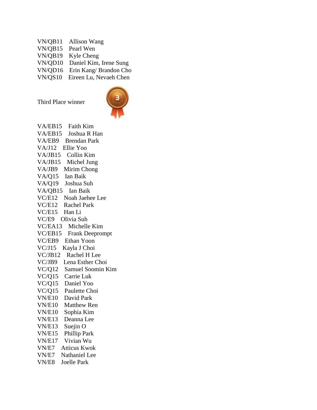| VN/QB11 | Allison Wang           |
|---------|------------------------|
| VN/QB15 | Pearl Wen              |
| VN/QB19 | Kyle Cheng             |
| VN/QD10 | Daniel Kim, Irene Sung |
| VN/QD16 | Erin Kang/ Brandon Cho |
| VN/OS10 | Eireen Lu, Nevaeh Chen |

Third Place winner



VA/EB15 Faith Kim VA/EB15 Joshua R Han VA/EB9 Brendan Park VA/J12 Ellie Yoo VA/JB15 Collin Kim VA/JB15 Michel Jung VA/JB9 Mirim Chong VA/Q15 Ian Baik VA/Q19 Joshua Suh VA/QB15 Ian Baik VC/E12 Noah Jaehee Lee VC/E12 Rachel Park VC/E15 Han Li VC/E9 Olivia Suh VC/EA13 Michelle Kim VC/EB15 Frank Deeprompt VC/EB9 Ethan Yoon VC/J15 Kayla J Choi VC/JB12 Rachel H Lee VC/JB9 Lena Esther Choi VC/Q12 Samuel Soomin Kim VC/Q15 Carrie Luk VC/Q15 Daniel Yoo VC/Q15 Paulette Choi VN/E10 David Park VN/E10 Matthew Ren VN/E10 Sophia Kim VN/E13 Deanna Lee VN/E13 Suejin O VN/E15 Phillip Park VN/E17 Vivian Wu VN/E7 Atticus Kwok VN/E7 Nathaniel Lee VN/E8 Joelle Park